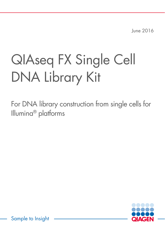June 2016

# QIAseq FX Single Cell DNA Library Kit

For DNA library construction from single cells for Illumina® platforms



Sample to Insight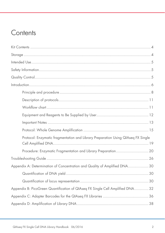# **Contents**

| Protocol: Enzymatic fragmentation and Library Preparation Using QIAseq FX Single |
|----------------------------------------------------------------------------------|
| Procedure: Enzymatic Fragmentation and Library Preparation 20                    |
|                                                                                  |
| Appendix A: Determination of Concentration and Quality of Amplified DNA 30       |
|                                                                                  |
|                                                                                  |
| Appendix B: PicoGreen Quantification of QIAseq FX Single Cell Amplified DNA 32   |
|                                                                                  |
|                                                                                  |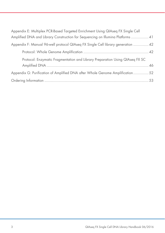| Appendix E: Multiplex PCR-Based Targeted Enrichment Using QIAseq FX Single Cell  |
|----------------------------------------------------------------------------------|
| Amplified DNA and Library Construction for Sequencing on Illumina Platforms  41  |
| Appendix F: Manual 96-well protocol QIAseq FX Single Cell library generation  42 |
|                                                                                  |
| Protocol: Enzymatic Fragmentation and Library Preparation Using QIAseq FX SC     |
|                                                                                  |
| Appendix G: Purification of Amplified DNA after Whole Genome Amplification  52   |
|                                                                                  |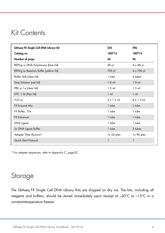# Kit Contents

| QIAseq FX Single Cell DNA Library Kit   | (24)               | (96)               |
|-----------------------------------------|--------------------|--------------------|
| Catalog no.                             | 180713             | 180715             |
| Number of preps                         | 24                 | 96                 |
| REPLI-g sc DNA Polymerase (blue lid)    | $48$ pl            | $4 \times 48$ µ    |
| REPLI-g sc Reaction Buffer (yellow lid) | 700 µl             | $4 \times 700 \mu$ |
| Buffer DLB (clear lid)                  | 1 tube             | 2 tubes            |
| Stop Solution (red lid)                 | $1.8$ ml           | $1.8$ m            |
| PBS sc 1x (clear lid)                   | $1.5$ ml           | $1.5$ ml           |
| DTT, 1 M (lilac lid)                    | $1 \text{ ml}$     | $1 \text{ ml}$     |
| $H_2O$ sc                               | $3 \times 1.5$ ml  | $8 \times 1.5$ ml  |
| FX Enzyme Mix                           | 1 tube             | 1 tube             |
| FX Buffer, 10x                          | 1 tube             | 1 tube             |
| <b>FX Enhancer</b>                      | 1 tube             | 1 tube             |
| DNA Ligase                              | 1 tube             | 1 tube             |
| 5x DNA Ligase Buffer                    | 1 tube             | 2 tubes            |
| Adapter Plate Illumina*                 | $1 \times 24$ plex | 1x 96 plex         |
| Quick Start Protocol                    | 1                  | $\mathbf{1}$       |

\* For adapter sequences, refer to Appendix C, page32.

# Storage

The QIAseq FX Single Cell DNA Library Kits are shipped on dry ice. The kits, including all reagents and buffers, should be stored immediately upon receipt at –30°C to –15°C in a constant-temperature freezer.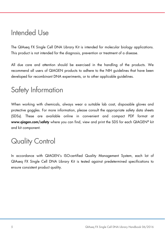# Intended Use

The QIAseq FX Single Cell DNA Library Kit is intended for molecular biology applications. This product is not intended for the diagnosis, prevention or treatment of a disease.

All due care and attention should be exercised in the handling of the products. We recommend all users of QIAGEN products to adhere to the NIH guidelines that have been developed for recombinant DNA experiments, or to other applicable guidelines.

# Safety Information

When working with chemicals, always wear a suitable lab coat, disposable gloves and protective goggles. For more information, please consult the appropriate safety data sheets (SDSs). These are available online in convenient and compact PDF format at www.qiagen.com/safety where you can find, view and print the SDS for each QIAGEN® kit and kit component.

# Quality Control

In accordance with QIAGEN's ISO-certified Quality Management System, each lot of QIAseq FX Single Cell DNA Library Kit is tested against predetermined specifications to ensure consistent product quality.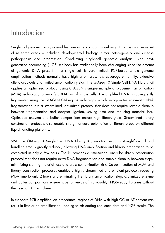# Introduction

Single cell genomic analysis enables researchers to gain novel insights across a diverse set of research areas – including developmental biology, tumor heterogeneity and disease pathogenesis and progression. Conducting single-cell genomic analysis using nextgeneration sequencing (NGS) methods has traditionally been challenging since the amount of genomic DNA present in a single cell is very limited. PCR-based whole genome amplification methods normally have high error rates, low coverage uniformity, extensive allelic drop-outs and limited amplification yields. The QIAseq FX Single Cell DNA Library Kit applies an optimized protocol using QIAGEN's unique multiple displacement amplification (MDA) technology to amplify gDNA out of single cells. The amplified DNA is subsequently fragmented using the QIAGEN QIAseq FX technology which incorporates enzymatic DNA fragmentation into a streamlined, optimized protocol that does not require sample cleanup between fragmentation and adapter ligation, saving time and reducing material loss. Optimized enzyme and buffer compositions ensure high library yield. Streamlined library construction protocols also enable straightforward automation of library preps on different liquid-handling platforms.

With the QIAseq FX Single Cell DNA Library Kit, reaction setup is straightforward and handling time is greatly reduced, allowing DNA amplification and library preparation to be completed in only a few hours. The kit provides a time-saving, one-tube library preparation protocol that does not require extra DNA fragmentation and sample cleanup between steps, minimizing starting material loss and cross-contamination risk. Co-optimization of MDA and library construction processes enables a highly streamlined and efficient protocol, reducing MDA time to only 2 hours and eliminating the library amplification step. Optimized enzyme and buffer compositions ensure superior yields of high-quality, NGS-ready libraries without the need of PCR enrichment.

In standard PCR amplification procedures, regions of DNA with high GC or AT content can result in little or no amplification, leading to misleading sequence data and NGS results. The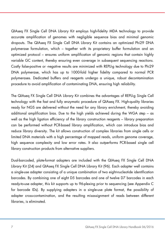QIAseq FX Single Cell DNA Library Kit employs high-fidelity MDA technology to provide accurate amplification of genomes with negligible sequence bias and minimal genomic dropouts. The QIAseq FX Single Cell DNA Library Kit contains an optimized Phi29 DNA polymerase formulation, which – together with its proprietary buffer formulation and an optimized protocol – ensures uniform amplification of genomic regions that contain highly variable GC content, thereby ensuring even coverage in subsequent sequencing reactions. Costly false-positive or -negative results are minimized with REPLI-g technology due to Phi29 DNA polymerase, which has up to 1000-fold higher fidelity compared to normal PCR polymerases. Dedicated buffers and reagents undergo a unique, robust decontamination procedure to avoid amplification of contaminating DNA, ensuring high reliability.

The QIAseq FX Single Cell DNA Library Kit combines the advantages of REPLI-g Single Cell technology with the fast and fully enzymatic procedure of QIAseq FX. High-quality libraries ready for NGS are delivered without the need for any library enrichment, thereby avoiding additional amplification bias. Due to the high yields achieved during the WGA step – as well as the high ligation efficiency of the library construction reagents – library preparation can be performed without PCR-based library amplification, which can introduce bias and reduce library diversity. The kit allows construction of complex libraries from single cells or limited DNA materials with a high percentage of mapped reads, uniform genome coverage, high sequence complexity and low error rates. It also outperforms PCR-based single cell library construction products from alternative suppliers.

Dual-barcoded, plate-format adapters are included with the QIAseq FX Single Cell DNA Library Kit (24) and QIAseq FX Single Cell DNA Library Kit (96). Each adapter well contains a single-use adapter consisting of a unique combination of two eight-nucleotide identification barcodes. By combining one of eight D5 barcodes and one of twelve D7 barcodes in each ready-to-use adapter, this kit supports up to 96-plexing prior to sequencing (see Appendix C for barcode IDs). By supplying adapters in a single-use plate format, the possibility of adapter cross-contamination, and the resulting misassignment of reads between different libraries, is eliminated.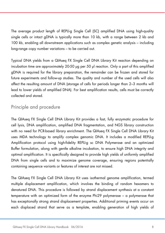The average product length of REPLI-g Single Cell (SC) amplified DNA using high-quality single cells or intact gDNA is typically more than 10 kb, with a range between 2 kb and 100 kb, enabling all downstream applications such as complex genetic analysis – including long-range copy number variations – to be carried out.

Typical DNA yields from a QIAseq FX Single Cell DNA Library Kit reaction depending on incubation time are approximately 20-50 μg per 50 μl reaction. Only a part of this amplified gDNA is required for the library preparation, the remainder can be frozen and stored for future experiments and follow-up studies. The quality and number of the used cells will also affect the resulting amount of DNA (storage of cells for periods longer than 2–3 months will lead to lower yields of amplified DNA). For best amplification results, cells must be correctly collected and stored.

### Principle and procedure

The QIAseq FX Single Cell DNA Library Kit provides a fast, fully enzymatic procedure for cell lysis, DNA amplification, amplified DNA fragmentation, and NGS library construction with no need for PCR-based library enrichment. The QIAseq FX Single Cell DNA Library Kit uses MDA technology to amplify complex genomic DNA. It includes a modified REPLI-g Amplification protocol using high-fidelity REPLI-g sc DNA Polymerase and an optimized Buffer formulation, along with gentle alkaline incubation, to ensure high DNA integrity and optimal amplification. It is specifically designed to provide high yields of uniformly amplified DNA from single cells and to maximize genome coverage, ensuring regions potentially containing sequence variants or features of interest are not missed.

The QIAseq FX Single Cell DNA Library Kit uses isothermal genome amplification, termed multiple displacement amplification, which involves the binding of random hexamers to denatured DNA. This procedure is followed by strand displacement synthesis at a constant temperature with an optimized form of the enzyme Phi29 polymerase – a polymerase that has exceptionally strong strand displacement properties. Additional priming events occur on each displaced strand that serve as a template, enabling generation of high yields of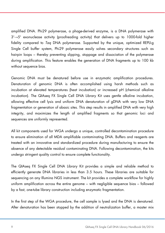amplified DNA. Phi29 polymerase, a phage-derived enzyme, is a DNA polymerase with 3'→5' exonuclease activity (proofreading activity) that delivers up to 1000-fold higher fidelity compared to Taq DNA polymerase. Supported by the unique, optimized REPLI-g Single Cell buffer system, Phi29 polymerase easily solves secondary structures such as hairpin loops – thereby preventing slipping, stoppage and dissociation of the polymerase during amplification. This feature enables the generation of DNA fragments up to 100 kb without sequence bias.

Genomic DNA must be denatured before use in enzymatic amplification procedures. Denaturation of genomic DNA is often accomplished using harsh methods such as incubation at elevated temperatures (heat incubation) or increased pH (chemical alkaline incubation). The QIAseq FX Single Cell DNA Library Kit uses gentle alkaline incubation, allowing effective cell lysis and uniform DNA denaturation of gDNA with very low DNA fragmentation or generation of abasic sites. This step results in amplified DNA with very high integrity, and maximizes the length of amplified fragments so that genomic loci and sequences are uniformly represented.

All kit components used for WGA undergo a unique, controlled decontamination procedure to ensure elimination of all MDA amplifiable contaminating DNA. Buffers and reagents are treated with an innovative and standardized procedure during manufacturing to ensure the absence of any detectable residual contaminating DNA. Following decontamination, the kits undergo stringent quality control to ensure complete functionality.

The QIAseq FX Single Cell DNA Library Kit provides a simple and reliable method to efficiently generate DNA libraries in less than 3.5 hours. These libraries are suitable for sequencing on any Illumina NGS instrument. The kit provides a complete workflow for highly uniform amplification across the entire genome – with negligible sequence bias – followed by a fast, one-tube library construction including enzymatic fragmentation.

In the first step of the WGA procedure, the cell sample is lysed and the DNA is denatured. After denaturation has been stopped by the addition of neutralization buffer, a master mix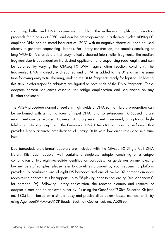containing buffer and DNA polymerase is added. The isothermal amplification reaction proceeds for 2 hours at 30°C, and can be preprogrammed in a thermal cycler. REPLI-g SC amplified DNA can be stored long-term at –20°C with no negative effects; or it can be used directly to generate sequencing libraries. For library construction, the samples consisting of long WGA-DNA strands are first enzymatically sheared into smaller fragments. The median fragment size is dependent on the desired application and sequencing read length, and can be adjusted by varying the QIAseq FX DNA fragmentation reaction conditions. The fragmented DNA is directly end-repaired and an 'A' is added to the 3' ends in the same tube following enzymatic shearing, making the DNA fragments ready for ligation. Following this step, platform-specific adapters are ligated to both ends of the DNA fragments. These adapters contain sequences essential for bridge amplification and sequencing on any Illumina sequencer.

The WGA procedure normally results in high yields of DNA so that library preparation can be performed with a high amount of input DNA, and so subsequent PCR-based library enrichment can be avoided. However, if library enrichment is required, an optional, highfidelity amplification step using the GeneRead DNA I Amp Kit can also be performed that provides highly accurate amplification of library DNA with low error rates and minimum bias.

Dual-barcoded, plate-format adapters are included with the QIAseq FX Single Cell DNA Library Kits. Each adapter well contains a single-use adapter consisting of a unique combination of two eight-nucleotide identification barcodes. For guidelines on multiplexing low numbers of samples, please refer to guidelines provided by your sequencing platform provider. By combining one of eight D5 barcodes and one of twelve D7 barcodes in each ready-to-use adapter, this kit supports up to 96-plexing prior to sequencing (see Appendix C for barcode IDs). Following library construction, the reaction cleanup and removal of adapter dimers can be achieved either by: 1) using the GeneRead™ Size Selection Kit (cat. no. 180514) – based on a simple, easy and precise silica column-based method, or 2) by using Agencourt® AMPure® XP Beads (Beckman Coulter, cat. no. A63880).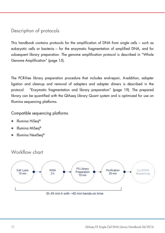# Description of protocols

This handbook contains protocols for the amplification of DNA from single cells – such as eukaryotic cells or bacteria – for the enzymatic fragmentation of amplified DNA, and for subsequent library preparation. The genome amplification protocol is described in "Whole Genome Amplification" (page 15).

The PCR-free library preparation procedure that includes end-repair, A-addition, adapter ligation and cleanup and removal of adapters and adapter dimers is described in the protocol "Enzymatic fragmentation and library preparation" (page 19). The prepared library can be quantified with the QIAseq Library Quant system and is optimized for use on Illumina sequencing platforms.

Compatible sequencing platforms

- Illumina HiSeq®
- Illumina MiSeq®
- Illumina NextSeq®



11 QIAseq FX Single Cell DNA Library Handbook 06/2016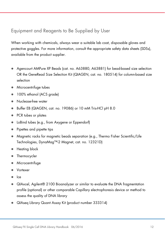### Equipment and Reagents to Be Supplied by User

When working with chemicals, always wear a suitable lab coat, disposable gloves and protective goggles. For more information, consult the appropriate safety data sheets (SDSs), available from the product supplier.

- Agencourt AMPure XP Beads (cat. no. A63880, A63881) for bead-based size selection OR the GeneRead Size Selection Kit (QIAGEN, cat. no. 180514) for column-based size selection
- Microcentrifuge tubes
- 100% ethanol (ACS grade)
- Nuclease-free water
- Buffer EB (QIAGEN, cat. no. 19086) or 10 mM Tris-HCl pH 8.0
- PCR tubes or plates
- LoBind tubes (e.g., from Axygene or Eppendorf)
- Pipettes and pipette tips
- Magnetic racks for magnetic beads separation (e.g., Thermo Fisher Scientific/Life Technologies, DynaMag™-2 Magnet, cat. no. 12321D)
- Heating block
- **Thermocycler**
- Microcentrifuge
- Vortexer
- Ice
- QIAxcel, Agilent® 2100 Bioanalyzer or similar to evaluate the DNA fragmentation profile (optional) or other comparable Capillary electrophoresis device or method to assess the quality of DNA library
- QIAseq Library Quant Assay Kit (product number 333314)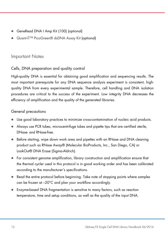- GeneRead DNA I Amp Kit (100) (optional)
- Quant-iT™ PicoGreen® dsDNA Assay Kit (optional)

### Important Notes

### Cells, DNA preparation and quality control

High-quality DNA is essential for obtaining good amplification and sequencing results. The most important prerequisite for any DNA sequence analysis experiment is consistent, highquality DNA from every experimental sample. Therefore, cell handling and DNA isolation procedures are critical to the success of the experiment. Low integrity DNA decreases the efficiency of amplification and the quality of the generated libraries.

### General precautions

- Use good laboratory practices to minimize cross-contamination of nucleic acid products.
- Always use PCR tubes, microcentrifuge tubes and pipette tips that are certified sterile, DNase- and RNase-free.
- Before starting, wipe down work area and pipettes with an RNase and DNA cleaning product such as RNase Away® (Molecular BioProducts, Inc., San Diego, CA) or LookOut® DNA Erase (Sigma-Aldrich).
- For consistent genome amplification, library construction and amplification ensure that the thermal cycler used in this protocol is in good working order and has been calibrated according to the manufacturer's specifications.
- Read the entire protocol before beginning. Take note of stopping points where samples can be frozen at –20°C and plan your workflow accordingly.
- Enzyme-based DNA fragmentation is sensitive to many factors, such as reaction temperature, time and setup conditions, as well as the quality of the input DNA.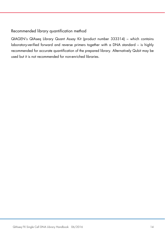### Recommended library quantification method

QIAGEN's QIAseq Library Quant Assay Kit (product number 333314) – which contains laboratory-verified forward and reverse primers together with a DNA standard – is highly recommended for accurate quantification of the prepared library. Alternatively Qubit may be used but it is not recommended for non-enriched libraries.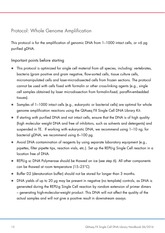## Protocol: Whole Genome Amplification

This protocol is for the amplification of genomic DNA from  $1-1000$  intact cells, or  $>6$  pg purified gDNA.

### Important points before starting

- This protocol is optimized for single cell material from all species, including: vertebrates, bacteria (gram positive and gram negative, flow-sorted cells, tissue culture cells, micromanipulated cells and laser-microdissected cells from frozen sections. The protocol cannot be used with cells fixed with formalin or other cross-linking agents (e.g., single cell samples obtained by laser microdissection from formalin-fixed, paraffin-embedded tissues).
- Samples of 1–1000 intact cells (e.g., eukaryotic or bacterial cells) are optimal for whole genome amplification reactions using the QIAseq FX Single Cell DNA Library Kit.
- If starting with purified DNA and not intact cells, ensure that the DNA is of high quality (high molecular weight DNA and free of inhibitors, such as solvents and detergents) and suspended in TE. If working with eukaryotic DNA, we recommend using 1–10 ng; for bacterial gDNA, we recommend using 6–100 pg.
- Avoid DNA contamination of reagents by using separate laboratory equipment (e.g., pipettes, filter pipette tips, reaction vials, etc.). Set up the REPLI-g Single Cell reaction in a location free of DNA.
- REPLI-g sc DNA Polymerase should be thawed on ice (see step 6). All other components can be thawed at room temperature (15–25°C).
- Buffer D2 (denaturation buffer) should not be stored for longer than 3 months.
- DNA yields of up to 20 μg may be present in negative (no template) controls, as DNA is generated during the REPLI-g Single Cell reaction by random extension of primer dimers – generating high-molecular-weight product. This DNA will not affect the quality of the actual samples and will not give a positive result in downstream assays.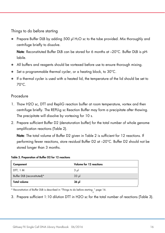Things to do before starting

 Prepare Buffer DLB by adding 500 μl H2O sc to the tube provided. Mix thoroughly and centrifuge briefly to dissolve.

Note: Reconstituted Buffer DLB can be stored for 6 months at -20°C. Buffer DLB is pHlabile.

- All buffers and reagents should be vortexed before use to ensure thorough mixing.
- Set a programmable thermal cycler, or a heating block, to 30°C.
- If a thermal cycler is used with a heated lid, the temperature of the lid should be set to 70°C.

### Procedure

- 1. Thaw H2O sc, DTT and RepliG reaction buffer at room temperature, vortex and then centrifuge briefly. The REPLI-g sc Reaction Buffer may form a precipitate after thawing. The precipitate will dissolve by vortexing for 10 s.
- 2. Prepare sufficient Buffer D2 (denaturation buffer) for the total number of whole genome amplification reactions (Table 2).

Note: The total volume of Buffer D2 given in Table 2 is sufficient for 12 reactions. If performing fewer reactions, store residual Buffer D2 at –20°C. Buffer D2 should not be stored longer than 3 months.

#### Table 2. Preparation of Buffer D2 for 12 reactions

| Component                   | Volume for 12 reactions |
|-----------------------------|-------------------------|
| DTT, 1 M                    | $3 \mu$                 |
| Buffer DLB (reconstituted)* | 33 <sub>pl</sub>        |
| <b>Total volume</b>         | 36 pl                   |

\* Reconstitution of Buffer DLB is described in "Things to do before starting, " page 16.

3. Prepare sufficient 1:10 dilution DTT in H2O sc for the total number of reactions (Table 3).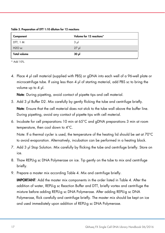Table 3. Preparation of DTT 1:10 dilution for 12 reactions

| Component                      | Volume for 12 reactions* |
|--------------------------------|--------------------------|
| DTT, 1 M                       | $3 \mu$                  |
| H <sub>2</sub> O <sub>sc</sub> | $27$ pl                  |
| <b>Total volume</b>            | 30 µl                    |

\* Add 10%.

4. Place 4 μl cell material (supplied with PBS) or gDNA into each well of a 96-well plate or microcetrifuge tube. If using less than 4 μl of starting material, add PBS sc to bring the volume up to 4 μl.

Note: During pipetting, avoid contact of pipette tips and cell material.

- 5. Add 3 μl Buffer D2. Mix carefully by gently flicking the tube and centrifuge briefly. Note: Ensure that the cell material does not stick to the tube wall above the buffer line. During pipetting, avoid any contact of pipette tips with cell material.
- 6. Incubate for cell preparations 10 min at 65°C and gDNA preparations 3 min at room temperature, then cool down to 4°C.

Note: If a thermal cycler is used, the temperature of the heating lid should be set at 70°C to avoid evaporation. Alternatively, incubation can be performed in a heating block.

- 7. Add 3 μl Stop Solution. Mix carefully by flicking the tube and centrifuge briefly. Store on ice.
- 8. Thaw REPLI-g sc DNA Polymerase on ice. Tip gently on the tube to mix and centrifuge briefly.
- 9. Prepare a master mix according Table 4. Mix and centrifuge briefly.

IMPORTANT: Add the master mix components in the order listed in Table 4. After the addition of water, REPLI-g sc Reaction Buffer and DTT, briefly vortex and centrifuge the mixture before adding REPLI-g sc DNA Polymerase. After adding REPLI-g sc DNA Polymerase, flick carefully and centrifuge briefly. The master mix should be kept on ice and used immediately upon addition of REPLI-g sc DNA Polymerase.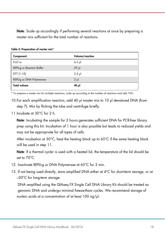Note: Scale up accordingly if performing several reactions at once by preparing a master mix sufficient for the total number of reactions.

| Component                         | Volume/reaction |
|-----------------------------------|-----------------|
| $H2O$ sc                          | $6.5$ pl        |
| <b>REPLI-g sc Reaction Buffer</b> | $29$ µ          |
| DTT (1:10)                        | $2.5$ pl        |
| REPLI-g sc DNA Polymerase         | $2 \mu$         |
| <b>Total volume</b>               | 40 μl           |

Table 4. Preparation of master mix\*

\* To prepare a master mix for multiple reactions, scale up according to the number of reactions and add 10%.

- 10.For each amplification reaction, add 40 μl master mix to 10 μl denatured DNA (from step 7). Mix by flicking the tube and centrifuge briefly.
- 11. Incubate at 30°C for 2 h.

Note: Incubating the sample for 2 hours generates sufficient DNA for PCR-free library prep using this kit. Incubation of 1 hour is also possible but leads to reduced yields and may not be appropriate for all types of cells.

After incubation at 30°C, heat the heating block up to 65°C if the same heating block will be used in step 11.

Note: If a thermal cycler is used with a heated lid, the temperature of the lid should be set to 70°C.

- 12. Inactivate REPLI-g sc DNA Polymerase at 65°C for 3 min.
- 13. If not being used directly, store amplified DNA either at 4°C for short-term storage, or at –20°C for long-term storage.

 DNA amplified using the QIAseq FX Single Cell DNA Library Kit should be treated as genomic DNA and undergo minimal freeze-thaw cycles. We recommend storage of nucleic acids at a concentration of at least 100 ng/μl.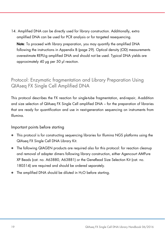14. Amplified DNA can be directly used for library construction. Additionally, extra amplified DNA can be used for PCR analysis or for targeted resequencing.

Note: To proceed with library preparation, you may quantify the amplified DNA following the instructions in Appendix B (page 29). Optical density (OD) measurements overestimate REPLI-g amplified DNA and should not be used. Typical DNA yields are approximately 40 μg per 50 μl reaction.

# Protocol: Enzymatic fragmentation and Library Preparation Using QIAseq FX Single Cell Amplified DNA

This protocol describes the FX reaction for single-tube fragmentation, end-repair, A-addition and size selection of QIAseq FX Single Cell amplified DNA – for the preparation of libraries that are ready for quantification and use in next-generation sequencing on instruments from Illumina.

### Important points before starting

- This protocol is for constructing sequencing libraries for Illumina NGS platforms using the QIAseq FX Single Cell DNA Library Kit.
- The following QIAGEN products are required also for this protocol: for reaction cleanup and removal of adapter dimers following library construction, either Agencourt AMPure XP Beads (cat. no. A63880, A63881) or the GeneRead Size Selection Kit (cat. no. 180514) are required and should be ordered separately.
- The amplified DNA should be diluted in H<sub>2</sub>O before starting.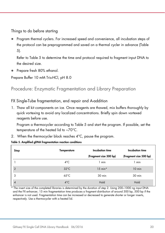Things to do before starting

 Program thermal cyclers. For increased speed and convenience, all incubation steps of the protocol can be preprogrammed and saved on a thermal cycler in advance (Table 5).

Refer to Table 5 to determine the time and protocol required to fragment input DNA to the desired size.

Prepare fresh 80% ethanol.

Prepare Buffer 10 mM Tris-HCl, pH 8.0

Procedure: Enzymatic Fragmentation and Library Preparation

FX Single-Tube fragmentation, end repair and A-addition

1. Thaw all kit components on ice. Once reagents are thawed, mix buffers thoroughly by quick vortexing to avoid any localized concentrations. Briefly spin down vortexed reagents before use.

Program a thermocycler according to Table 5 and start the program. If possible, set the temperature of the heated lid to ~70°C.

2. When the thermocycler block reaches 4°C, pause the program.

| Step           | <b>Temperature</b> | <b>Incubation time</b> | <b>Incubation time</b> |
|----------------|--------------------|------------------------|------------------------|
|                |                    | (Fragment size 300 bp) | (Fragment size 500 bp) |
|                | $4^{\circ}$ C      | 1 min                  | 1 min                  |
| $\overline{2}$ | $32^{\circ}$ C     | $15 \text{ min}^*$     | $10$ min               |
| 3              | $65^{\circ}$ C     | 30 min                 | 30 min                 |
| $\overline{4}$ | $4^{\circ}$ C      | Hold                   | Hold                   |

The insert size of the completed libraries is determined by the duration of step 2. Using 200–1000 ng input DNA and the FX enhancer, 15 min fragmentation time produces a fragment distribution of around 300 bp, 500 bp if the enhancer is not used. Fragmentation time can be increased or decreased to generate shorter or longer inserts, respectively. Use a thermocycler with a heated lid.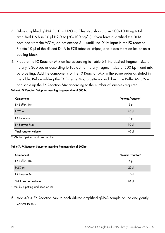- 3. Dilute amplified gDNA 1:10 in H2O sc. This step should give 200–1000 ng total amplified DNA in 10 μl H2O sc (20–100 ng/μl). If you have quantified the DNA obtained from the WGA, do not exceed 5 μl undiluted DNA input in the FX reaction. Pipette 10 μl of the diluted DNA in PCR tubes or stripes, and place them on ice or on a cooling block.
- 4. Prepare the FX Reaction Mix on ice according to Table 6 if the desired fragment size of library is 300 bp, or according to Table 7 for library fragment size of 500 bp – and mix by pipetting. Add the components of the FX Reaction Mix in the same order as stated in the table. Before adding the FX Enzyme Mix, pipette up and down the Buffer Mix. You can scale up the FX Reaction Mix according to the number of samples required.

| Volume/reaction* |
|------------------|
| $5 \mu$          |
| $20$ $\mu$       |
| $5 \mu$          |
| 10 <sub>µ</sub>  |
| 40 µl            |
|                  |

Table 6. FX Reaction Setup for inserting fragment size of 300 bp

\* Mix by pipetting and keep on ice.

#### Table 7. FX Reaction Setup for inserting fragment size of 500bp

| Component                    | Volume/reaction* |
|------------------------------|------------------|
| FX Buffer, 10x               | $5 \mu$          |
| $H2O$ sc                     | 25 <sub>pl</sub> |
| FX Enzyme Mix                | 10 <sub>µ</sub>  |
| <b>Total reaction volume</b> | 40 µl            |

Mix by pipetting and keep on ice.

5. Add 40 μl FX Reaction Mix to each diluted amplified gDNA sample on ice and gently vortex to mix.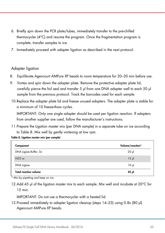- 6. Briefly spin down the PCR plate/tubes, immediately transfer to the pre-chilled thermocycler (4°C) and resume the program. Once the fragmentation program is complete, transfer samples to ice.
- 7. Immediately proceed with adapter ligation as described in the next protocol.

#### Adapter ligation

- 8. Equilibrate Agencourt AMPure XP beads to room temperature for 20–30 min before use.
- 9. Vortex and spin down the adapter plate. Remove the protective adapter plate lid, carefully pierce the foil seal and transfer 5 μl from one DNA adapter well to each 50 μl sample from the previous protocol. Track the barcodes used for each sample.
- 10.Replace the adapter plate lid and freeze unused adapters. The adapter plate is stable for a minimum of 10 freeze-thaw cycles.

IMPORTANT: Only one single adapter should be used per ligation reaction. If adapters from another supplier are used, follow the manufacturer's instructions.

11.Prepare the Ligation master mix (per DNA sample) in a separate tube on ice according to Table 8. Mix well by gently vortexing at low rpm.

Table 8. Ligation master mix (per sample)

| Component                    | Volume/reaction* |
|------------------------------|------------------|
| DNA Ligase Buffer, 5x        | $20 \mu$         |
| $H2O$ sc                     | $15$ $\mu$       |
| DNA Ligase                   | $10 \mu$         |
| <b>Total reaction volume</b> | 45 pl            |

\* Mix by pipetting and keep on ice.

12.Add 45 μl of the ligation master mix to each sample. Mix well and incubate at 20°C for 15 min.

IMPORTANT: Do not use a thermocycler with a heated lid.

13.Proceed immediately to adapter ligation cleanup (steps 14–23) using 0.8x (80 μl) Agencourt AMPure XP beads.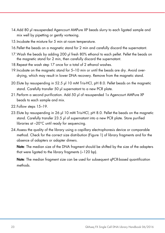- 14.Add 80 μl resuspended Agencourt AMPure XP beads slurry to each ligated sample and mix well by pipetting or gently vortexing.
- 15.Incubate the mixture for 5 min at room temperature.
- 16.Pellet the beads on a magnetic stand for 2 min and carefully discard the supernatant.
- 17. Wash the beads by adding 200 μl fresh 80% ethanol to each pellet. Pellet the beads on the magnetic stand for 2 min, then carefully discard the supernatant.
- 18.Repeat the wash step 17 once for a total of 2 ethanol washes.
- 19.Incubate on the magnetic stand for 5–10 min or until the beads are dry. Avoid overdrying, which may result in lower DNA recovery. Remove from the magnetic stand.
- 20.Elute by resuspending in 52.5 μl 10 mM Tris-HCl, pH 8.0. Pellet beads on the magnetic stand. Carefully transfer 50 μl supernatant to a new PCR plate.
- 21.Perform a second purification. Add 50 μl of resuspended 1x Agencourt AMPure XP beads to each sample and mix.
- 22.Follow steps 15–19.
- 23.Elute by resuspending in 26 μl 10 mM Tris-HCl, pH 8.0. Pellet the beads on the magnetic stand. Carefully transfer 23.5 μl of supernatant into a new PCR plate. Store purified libraries at –20°C until ready for sequencing.
- 24.Assess the quality of the library using a capillary electrophoresis device or comparable method. Check for the correct size distribution (Figure 1) of library fragments and for the absence of adapters or adapter dimers.

Note: The median size of the DNA fragment should be shifted by the size of the adapters that were ligated to the library fragments (~120 bp).

Note: The median fragment size can be used for subsequent qPCR-based quantification methods.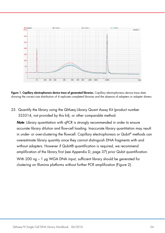

Figure 1. Capillary electrophoresis device trace of generated libraries. Capillary electrophoresis device trace data showing the correct size distribution of 4 replicate completed libraries and the absence of adapters or adapter dimers.

25. Quantify the library using the QIAseq Library Quant Assay Kit (product number 333314, not provided by this kit), or other comparable method.

Note: Library quantitation with qPCR is strongly recommended in order to ensure accurate library dilution and flow-cell loading. Inaccurate library quantitation may result in under- or over-clustering the flowcell. Capillary electrophoresis or Qubit® methods can overestimate library quantity since they cannot distinguish DNA fragments with and without adapters. However if Qubit® quantification is required, we recommend amplification of the library first (see Appendix D, page 37) prior Qubit quantification. With 200 ng – 1 μg WGA DNA input, sufficient library should be generated for clustering on Illumina platforms without further PCR amplification (Figure 2).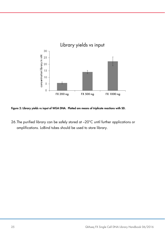

Figure 2: Library yields vs input of WGA DNA. Plotted are means of triplicate reactions with SD.

26.The purified library can be safely stored at –20°C until further applications or amplifications. LoBind tubes should be used to store library.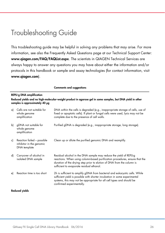# Troubleshooting Guide

This troubleshooting guide may be helpful in solving any problems that may arise. For more information, see also the Frequently Asked Questions page at our Technical Support Center: www.qiagen.com/FAQ/FAQList.aspx. The scientists in QIAGEN Technical Services are always happy to answer any questions you may have about either the information and/or protocols in this handbook or sample and assay technologies (for contact information, visit www.qiagen.com).

### REPLI-g DNA amplification Reduced yields and no high-molecular-weight product in agarose gel in some samples, but DNA yield in other samples is approximately 40 μg

Comments and suggestions

| a) | Cells are not suitable for<br>whole genome<br>amplification            | DNA within the cells is degraded (e.g., inappropriate storage of cells, use of<br>fixed or apoptotic cells). If plant or fungal cells were used, lysis may not be<br>complete due to the presence of cell walls.                                                         |
|----|------------------------------------------------------------------------|--------------------------------------------------------------------------------------------------------------------------------------------------------------------------------------------------------------------------------------------------------------------------|
| b) | gDNA not suitable for<br>whole genome<br>amplification                 | Purified gDNA is degraded (e.g., inappropriate storage, long storage).                                                                                                                                                                                                   |
| c) | Reaction failed - possible<br>inhibitor in the genomic<br>DNA template | Clean up or dilute the purified genomic DNA and reamplify.                                                                                                                                                                                                               |
| d) | Carryover of alcohol in<br>isolated DNA sample                         | Residual alcohol in the DNA sample may reduce the yield of REPLI-g<br>reactions. When using column-based purification procedures, ensure that the<br>duration of the drying step prior to elution of DNA from the column is<br>sufficient to evaporate residual ethanol. |
| e) | Reaction time is too short                                             | 2h is sufficient to amplify gDNA from bacterial and eukaryotic cells. While<br>sufficient yield is possible with shorter incubation in some experimental<br>systems, this may not be appropriate for all cell types and should be<br>confirmed experimentally.           |

#### Reduced yields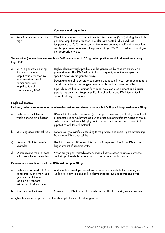#### Comments and suggestions

| αÌ | Reaction temperature is too<br>high                                      | Check the incubator for correct reaction temperature (30°C) during the whole<br>genome amplification reaction. If cycler with heated lid is used, set<br>temperature to 70°C. As a control, the whole genome amplification reaction<br>can be performed at a lower temperature (e.g., 25-28°C), which should give<br>the appropriate yield. |
|----|--------------------------------------------------------------------------|---------------------------------------------------------------------------------------------------------------------------------------------------------------------------------------------------------------------------------------------------------------------------------------------------------------------------------------------|
|    | (e.g., PCR)                                                              | The negative (no template) controls have DNA yields of up to 20 µg but no positive result in downstream assay                                                                                                                                                                                                                               |
| αÌ | DNA is generated during<br>the whole genome<br>amplification reaction by | High-molecular-weight product can be generated by random extension of<br>primer-dimers. This DNA will not affect the quality of actual samples or<br>specific downstream genetic assays.                                                                                                                                                    |
|    | random extension of<br>primer-dimers or                                  | Decontaminate all laboratory equipment and take all necessary precautions to<br>avoid contamination of reagents and samples with extraneous DNA.                                                                                                                                                                                            |
|    | amplification of<br>contaminating DNA                                    | If possible, work in a laminar flow hood. Use sterile equipment and barrier<br>pipette tips only, and keep amplification chemistry and DNA templates in<br>separate storage locations.                                                                                                                                                      |

#### Single cell protocol

Reduced/no locus representation or allele dropout in downstream analysis, but DNA yield is approximately 40 μg

| al | Cells are not suitable for<br>whole genome amplification      | DNA within the cells is degraded (e.g., inappropriate storage of cells, use of fixed<br>or apoptotic cells). Cells were lost during procedure or insufficient mixing of lysis of<br>cells occurred. Perform mixing by gently flicking the tube and avoid contact of<br>pipette tips with the cell material. |
|----|---------------------------------------------------------------|-------------------------------------------------------------------------------------------------------------------------------------------------------------------------------------------------------------------------------------------------------------------------------------------------------------|
| bl | DNA degraded after cell lysis                                 | Perform cell lysis carefully according to the protocol and avoid vigorous vortexing.<br>Do not store DNA after cell lysis.                                                                                                                                                                                  |
| c) | Genomic DNA template is<br>degraded                           | Use intact genomic DNA template and avoid repeated pipetting of DNA. Use a<br>larger amount of genomic DNA.                                                                                                                                                                                                 |
| d) | Microdissected material does<br>not contain the whole nucleus | When carrying out microdissection, ensure that the section thickness allows the<br>capturing of the whole nucleus and that the nucleus is not damaged                                                                                                                                                       |

#### Genome is not amplified at all, but DNA yield is up to 40 μg

| a) Cells were not lysed. DNA is<br>generated during the whole<br>genome amplification<br>reaction by random<br>extension of primer-dimers | Additional cell envelope breakdown is necessary for cells that have strong cell<br>walls (e.g., plant cells and cells in dormant stages, such as spores and cysts). |
|-------------------------------------------------------------------------------------------------------------------------------------------|---------------------------------------------------------------------------------------------------------------------------------------------------------------------|
|                                                                                                                                           |                                                                                                                                                                     |

b) Sample is contaminated Contaminating DNA may out compete the amplification of single cells genome.

A higher than expected proportion of reads map to the mitochondrial genome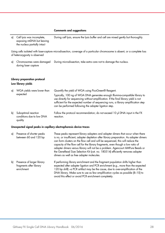#### Comments and suggestions

a) Cell lysis was incomplete, exposing mtDNA but leaving the nucleus partially intact During cell lysis, ensure the lysis buffer and cell are mixed gently but thoroughly.

Using cells isolated with laser-capture microdissection, coverage of a particular chromosome is absent, or a complete loss of heterozygosity is observed

a) Chromosomes were damaged During microdissection, take extra care not to damage the nucleus. during laser capture

#### Library preparation protocol Low library yields

| al | WGA yields were lower than<br>expected                      | Quantify the yield of WGA using PicoGreen® Reagent.<br>Typically, 100 ng of WGA DNA generates enough Illumina-compatible library to<br>use directly for sequencing without amplification. If the final library yield is not<br>sufficient for the expected number of sequencing runs, a library amplification step<br>can be performed following the adapter ligation step. |
|----|-------------------------------------------------------------|-----------------------------------------------------------------------------------------------------------------------------------------------------------------------------------------------------------------------------------------------------------------------------------------------------------------------------------------------------------------------------|
| bì | Suboptimal reaction<br>conditions due to low DNA<br>quality | Follow the protocol recommendation; do not exceed 10 µl DNA input in the FX<br>reaction.                                                                                                                                                                                                                                                                                    |

#### Unexpected signal peaks in capillary electrophoresis device traces

| a) | Presence of shorter peaks<br>between 60 and 120 bp                  | These peaks represent library adapters and adapter dimers that occur when there<br>is no, or insufficient, adapter depletion after library preparation. As adapter dimers<br>can form clusters on the flow cell and will be sequenced, this will reduce the<br>capacity of the flow cell for the library fragments, even though a low ratio of<br>adapter dimers versus library will not be a problem. Agencourt AMPure Beads or<br>the GeneRead Size Selection Kit (cat. no. 180514) efficiently removes adapter<br>dimers as well as free adapter molecules. |
|----|---------------------------------------------------------------------|----------------------------------------------------------------------------------------------------------------------------------------------------------------------------------------------------------------------------------------------------------------------------------------------------------------------------------------------------------------------------------------------------------------------------------------------------------------------------------------------------------------------------------------------------------------|
| b) | Presence of larger library<br>fragments after library<br>enrichment | If performing library enrichment and the fragment population shifts higher than<br>expected after adapter ligation and PCR enrichment (e.g., more than the expected<br>120 bp shift) -a PCR artifact may be the cause, due to over-amplification of the<br>DNA library. Make sure to use as few amplification cycles as possible (8-10) to<br>avoid this effect or avoid PCR enrichment completely.                                                                                                                                                            |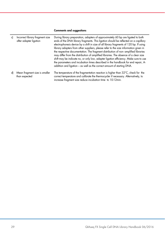#### Comments and suggestions

| c) | Incorrect library fragment size<br>after adapter ligation | During library preparation, adapters of approximately 60 bp are ligated to both<br>ends of the DNA library fragments. This ligation should be reflected on a capillary<br>electrophoresis device by a shift in size of all library fragments of 120 bp. If using<br>library adapters from other suppliers, please refer to the size information given in<br>the respective documentation. The fragment distribution of non- amplified libraries<br>may differ from the distribution of amplified libraries. The absence of a clear size<br>shift may be indicate no, or only low, adapter ligation efficiency. Make sure to use<br>the parameters and incubation times described in the handbook for end repair, A-<br>addition and ligation – as well as the correct amount of starting DNA. |
|----|-----------------------------------------------------------|-----------------------------------------------------------------------------------------------------------------------------------------------------------------------------------------------------------------------------------------------------------------------------------------------------------------------------------------------------------------------------------------------------------------------------------------------------------------------------------------------------------------------------------------------------------------------------------------------------------------------------------------------------------------------------------------------------------------------------------------------------------------------------------------------|
| d) | Mean fragment size is smaller<br>than expected            | The temperature of the fragmentation reaction is higher than $32^{\circ}$ C, check for the<br>correct temperature and calibrate the thermocycler if necessary. Alternatively, to<br>increase fragment size reduce incubation time to 10-12min.                                                                                                                                                                                                                                                                                                                                                                                                                                                                                                                                                |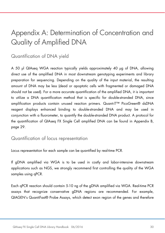# Appendix A: Determination of Concentration and Quality of Amplified DNA

### Quantification of DNA yield

A 50 μl QIAseq WGA reaction typically yields approximately 40 μg of DNA, allowing direct use of the amplified DNA in most downstream genotyping experiments and library preparation for sequencing. Depending on the quality of the input material, the resulting amount of DNA may be less (dead or apoptotic cells with fragmented or damaged DNA should not be used). For a more accurate quantification of the amplified DNA, it is important to utilize a DNA quantification method that is specific for double-stranded DNA, since amplification products contain unused reaction primers. Quant-iT™ PicoGreen® dsDNA reagent displays enhanced binding to double-stranded DNA and may be used in conjunction with a fluorometer, to quantify the double-stranded DNA product. A protocol for the quantification of QIAseq FX Single Cell amplified DNA can be found in Appendix B, page 29.

### Quantification of locus representation

Locus representation for each sample can be quantified by real-time PCR.

If gDNA amplified via WGA is to be used in costly and labor-intensive downstream applications such as NGS, we strongly recommend first controlling the quality of the WGA samples using qPCR.

Each qPCR reaction should contain 5-10 ng of the gDNA amplified via WGA. Real-time PCR assays that recognize conservative gDNA regions are recommended. For example, QIAGEN's QuantiFast® Probe Assays, which detect exon region of the genes and therefore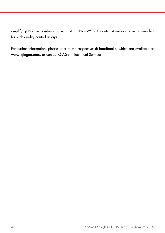amplify gDNA, in combination with QuantiNova™ or QuantiFast mixes are recommended for such quality control assays.

For further information, please refer to the respective kit handbooks, which are available at www.qiagen.com, or contact QIAGEN Technical Services.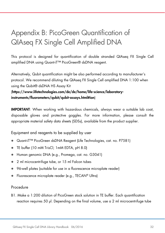# Appendix B: PicoGreen Quantification of QIAseq FX Single Cell Amplified DNA

This protocol is designed for quantification of double stranded QIAseq FX Single Cell amplified DNA using Quant-iT™ PicoGreen® dsDNA reagent.

Alternatively, Qubit quantification might be also performed according to manufacturer's protocol. We recommend diluting the QIAseq FX Single Cell amplified DNA 1:100 when using the Qubit® dsDNA HS Assay Kit

### (https://www.lifetechnologies.com/de/de/home/life-science/laboratoryinstruments/fluorometers/qubit/qubit-assays.html#ion)

IMPORTANT: When working with hazardous chemicals, always wear a suitable lab coat, disposable gloves and protective goggles. For more information, please consult the appropriate material safety data sheets (SDSs), available from the product supplier.

Equipment and reagents to be supplied by user

- Quant-iT™ PicoGreen dsDNA Reagent (Life Technologies, cat. no. P7581)
- TE buffer (10 mM TrisCl; 1mM EDTA, pH 8.0)
- Human genomic DNA (e.g., Promega, cat. no. G3041)
- 2 ml microcentrifuge tube, or 15 ml Falcon tubes
- 96-well plates (suitable for use in a fluorescence microplate reader)
- Fluorescence microplate reader (e.g., TECAN® Ultra)

#### Procedure

B1. Make a 1:200 dilution of PicoGreen stock solution in TE buffer. Each quantification reaction requires 50 μl. Depending on the final volume, use a 2 ml microcentrifuge tube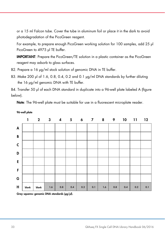or a 15 ml Falcon tube. Cover the tube in aluminum foil or place it in the dark to avoid photodegradation of the PicoGreen reagent.

For example, to prepare enough PicoGreen working solution for 100 samples, add 25 μl PicoGreen to 4975 μl TE buffer.

IMPORTANT: Prepare the PicoGreen/TE solution in a plastic container as the PicoGreen reagent may adsorb to glass surfaces.

- B2. Prepare a 16 μg/ml stock solution of genomic DNA in TE buffer.
- B3. Make 200 μl of 1.6, 0.8, 0.4, 0.2 and 0.1 μg/ml DNA standards by further diluting the 16 μg/ml genomic DNA with TE buffer.

B4. Transfer 50 μl of each DNA standard in duplicate into a 96-well plate labeled A (figure below).

Note: The 96-well plate must be suitable for use in a fluorescent microplate reader.

|                    | 1     | $2^{\sim}$ |     |     | $3 \qquad 4 \qquad 5 \qquad 6$ |     | $\overline{\mathbf{z}}$ | $\overline{\mathbf{8}}$ | 9   | 10  | 11  | 12  |
|--------------------|-------|------------|-----|-----|--------------------------------|-----|-------------------------|-------------------------|-----|-----|-----|-----|
| $\pmb{\mathsf{A}}$ |       |            |     |     |                                |     |                         |                         |     |     |     |     |
| $\, {\bf B}$       |       |            |     |     |                                |     |                         |                         |     |     |     |     |
| $\mathsf C$        |       |            |     |     |                                |     |                         |                         |     |     |     |     |
| D                  |       |            |     |     |                                |     |                         |                         |     |     |     |     |
| $\mathsf E$        |       |            |     |     |                                |     |                         |                         |     |     |     |     |
| $\mathsf F$        |       |            |     |     |                                |     |                         |                         |     |     |     |     |
| G                  |       |            |     |     |                                |     |                         |                         |     |     |     |     |
| H                  | blank | blank      | 1.6 | 0.8 | 0.4                            | 0.2 | 0.1                     | 1.6                     | 0.8 | 0.4 | 0.2 | 0.1 |

96-well plate

Gray squares: genomic DNA standards (μg/μl).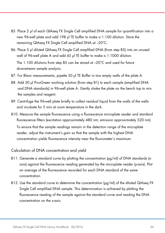- B5. Place 2 μl of each QIAseq FX Single Cell amplified DNA sample for quantification into a new 96-well plate and add 198 μl TE buffer to make a 1:100 dilution. Store the remaining QIAseq FX Single Cell amplified DNA at –20°C.
- B6. Place 5 μl diluted QIAseq FX Single Cell amplified DNA (from step B5) into an unused well of 96-well plate A and add 45 μl TE buffer to make a 1:1000 dilution.

The 1:100 dilutions from step B5 can be stored at –20°C and used for future downstream sample analysis.

- B7. For Blanc measurements, pipette 50 μl TE Buffer in tow empty wells of the plate A.
- B8. Add 50 μl PicoGreen working solution (from step B1) to each sample (amplified DNA and DNA standards) in 96-well plate A. Gently shake the plate on the bench top to mix the samples and reagent.
- B9. Centrifuge the 96-well plate briefly to collect residual liquid from the walls of the wells and incubate for 5 min at room temperature in the dark.
- B10. Measure the sample fluorescence using a fluorescence microplate reader and standard fluorescence filters (excitation approximately 480 nm; emission approximately 520 nm). To ensure that the sample readings remain in the detection range of the microplate reader, adjust the instrument's gain so that the sample with the highest DNA concentration yields fluorescence intensity near the fluorometer's maximum.

#### Calculation of DNA concentration and yield

- B11. Generate a standard curve by plotting the concentration (μg/ml) of DNA standards (xaxis) against the fluorescence reading generated by the microplate reader (y-axis). Plot an average of the fluorescence recorded for each DNA standard of the same concentration.
- B12. Use the standard curve to determine the concentration (μg/ml) of the diluted QIAseq FX Single Cell amplified DNA sample. This determination is achieved by plotting the fluorescence reading of the sample against the standard curve and reading the DNA concentration on the x-axis.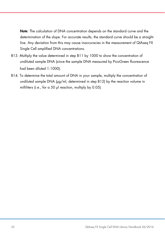Note: The calculation of DNA concentration depends on the standard curve and the determination of the slope. For accurate results, the standard curve should be a straight line. Any deviation from this may cause inaccuracies in the measurement of QIAseq FX Single Cell amplified DNA concentrations.

- B13. Multiply the value determined in step B11 by 1000 to show the concentration of undiluted sample DNA (since the sample DNA measured by PicoGreen fluorescence had been diluted 1:1000).
- B14. To determine the total amount of DNA in your sample, multiply the concentration of undiluted sample DNA (μg/ml, determined in step B12) by the reaction volume in milliliters (i.e., for a 50 μl reaction, multiply by 0.05).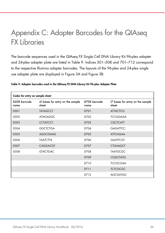# Appendix C: Adapter Barcodes for the QIAseq FX Libraries

The barcode sequences used in the QIAseq FX Single Cell DNA Library Kit 96-plex adapter and 24-plex adapter plate are listed in Table 9. Indices 501–508 and 701–712 correspond to the respective Illumina adapter barcodes. The layouts of the 96-plex and 24-plex single use adapter plate are displayed in Figure 3A and Figure 3B.

| Codes for entry on sample sheet                                   |                 |                      |                                           |  |  |  |  |  |
|-------------------------------------------------------------------|-----------------|----------------------|-------------------------------------------|--|--|--|--|--|
| D50X barcode<br>i5 bases for entry on the sample<br>sheet<br>name |                 | D70X barcode<br>name | 17 bases for entry on the sample<br>sheet |  |  |  |  |  |
| D <sub>50</sub> 1                                                 | <b>TATAGCCT</b> | D701                 | <b>ATTACTCG</b>                           |  |  |  |  |  |
| D <sub>502</sub>                                                  | <b>ATAGAGGC</b> | D702                 | <b>TCCGGAGA</b>                           |  |  |  |  |  |
| D <sub>503</sub>                                                  | <b>CCTATCCT</b> | D703                 | <b>CGCTCATT</b>                           |  |  |  |  |  |
| D <sub>504</sub>                                                  | <b>GGCTCTGA</b> | D704                 | <b>GAGATTCC</b>                           |  |  |  |  |  |
| D <sub>505</sub>                                                  | <b>AGGCGAAG</b> | D705                 | <b>ATTCAGAA</b>                           |  |  |  |  |  |
| D <sub>506</sub>                                                  | <b>TAATCTTA</b> | D706                 | <b>GAATTCGT</b>                           |  |  |  |  |  |
| D <sub>507</sub>                                                  | <b>CAGGACGT</b> | D707                 | <b>CTGAAGCT</b>                           |  |  |  |  |  |
| D <sub>508</sub>                                                  | <b>GTACTGAC</b> | D708                 | <b>TAATGCGC</b>                           |  |  |  |  |  |
|                                                                   |                 | D709                 | <b>CGGCTATG</b>                           |  |  |  |  |  |
|                                                                   |                 | D710                 | <b>TCCGCGAA</b>                           |  |  |  |  |  |
|                                                                   |                 | D711                 | <b>TCTCGCGC</b>                           |  |  |  |  |  |
|                                                                   |                 | D712                 | <b>AGCGATAG</b>                           |  |  |  |  |  |

#### Table 9. Adapter barcodes used in the QIAseq FX DNA Library Kit 96-plex Adapter Plate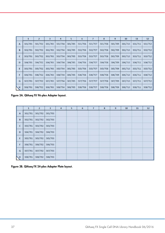|              | $\mathbf{1}$ | $\overline{2}$ | 3       | $\overline{4}$ | 5       | 6       |         | 8       | 9       | 10      | 11      | 12      |
|--------------|--------------|----------------|---------|----------------|---------|---------|---------|---------|---------|---------|---------|---------|
| $\mathbf{A}$ | 501/701      | 501/702        | 501/703 | 501/704        | 501/705 | 501/706 | 501/707 | 501/708 | 501/709 | 501/710 | 501/711 | 501/712 |
| B            | 502/701      | 502/702        | 502/703 | 502/704        | 502/705 | 502/706 | 502/707 | 502/708 | 502/709 | 502/710 | 502/711 | 502/712 |
| $\mathbf C$  | 503/701      | 503/702        | 503/703 | 503/704        | 503/705 | 503/706 | 503/707 | 503/708 | 503/709 | 503/710 | 503/711 | 503/712 |
| D            | 504/701      | 504/702        | 504/703 | 504/704        | 504/705 | 504/706 | 504/707 | 504/708 | 504/709 | 504/710 | 504/711 | 504/712 |
| E            | 505/701      | 505/702        | 505/703 | 505/704        | 505/705 | 505/706 | 505/707 | 505/708 | 505/709 | 505/710 | 505/711 | 505/712 |
| F            | 506/701      | 506/702        | 506/703 | 506/704        | 506/705 | 506/706 | 506/707 | 506/708 | 506/709 | 506/710 | 506/711 | 506/712 |
| G            | 507/701      | 507/702        | 507/703 | 507/704        | 507/705 | 507/706 | 507/707 | 507/708 | 507/709 | 507/710 | 507/711 | 507/712 |
| ↖            | 508/701      | 508/702        | 508/703 | 508/704        | 508/705 | 508/706 | 508/707 | 508/708 | 508/709 | 508/710 | 508/711 | 508/712 |

Figure 3A. QIAseq FX 96-plex Adapter layout.

|                | $\mathbf{1}$ | $\overline{2}$ | $\overline{\mathbf{3}}$ | $\overline{4}$ | 5 | 6 | $\overline{7}$ | 8 | $\overline{9}$ | 10 | 11 | 12 |
|----------------|--------------|----------------|-------------------------|----------------|---|---|----------------|---|----------------|----|----|----|
| $\overline{A}$ | 501/701      | 501/702        | 501/703                 |                |   |   |                |   |                |    |    |    |
| $\overline{B}$ | 502/701      | 502/702        | 502/703                 |                |   |   |                |   |                |    |    |    |
| $\mathsf{C}$   | 503/701      | 503/702        | 503/703                 |                |   |   |                |   |                |    |    |    |
| D              | 504/701      | 504/702        | 504/703                 |                |   |   |                |   |                |    |    |    |
| E              | 505/701      | 505/702        | 505/703                 |                |   |   |                |   |                |    |    |    |
| F              | 506/701      | 506/702        | 506/703                 |                |   |   |                |   |                |    |    |    |
| G              | 507/701      | 507/702        | 507/703                 |                |   |   |                |   |                |    |    |    |
| NН             | 508/701      | 508/702        | 508/703                 |                |   |   |                |   |                |    |    |    |

Figure 3B. QIAseq FX 24-plex Adapter Plate layout.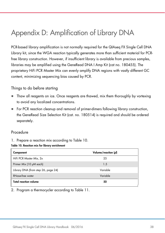# Appendix D: Amplification of Library DNA

PCR-based library amplification is not normally required for the QIAseq FX Single Cell DNA Library kit, since the WGA reaction typically generates more than sufficient material for PCRfree library construction. However, if insufficient library is available from precious samples, libraries may be amplified using the GeneRead DNA I Amp Kit (cat no. 180455). The proprietary HiFi PCR Master Mix can evenly amplify DNA regions with vastly different GC content, minimizing sequencing bias caused by PCR.

#### Things to do before starting

- Thaw all reagents on ice. Once reagents are thawed, mix them thoroughly by vortexing to avoid any localized concentrations.
- For PCR reaction cleanup and removal of primer-dimers following library construction, the GeneRead Size Selection Kit (cat. no. 180514) is required and should be ordered separately.

#### Procedure

1. Prepare a reaction mix according to Table 10.

#### Table 10. Reaction mix for library enrichment

| Component                           | Volume/reaction (µl) |
|-------------------------------------|----------------------|
| HiFi PCR Master Mix, 2x             | 25                   |
| Primer Mix (10 µM each)             | 1.5                  |
| Library DNA (from step 26, page 24) | Variable             |
| <b>RNase-free water</b>             | Variable             |
| <b>Total reaction volume</b>        | 50                   |

2. Program a thermocycler according to Table 11.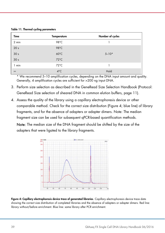Table 11. Thermal cycling parameters

| Time            | <b>Temperature</b> | Number of cycles |
|-----------------|--------------------|------------------|
| 2 min           | 98°C               |                  |
| 20 <sub>s</sub> | $98^{\circ}$ C     |                  |
| 30 <sub>s</sub> | $60^{\circ}$ C     | $5 - 10*$        |
| 30 <sub>s</sub> | $72^{\circ}$ C     |                  |
| 1 min           | $72^{\circ}$ C     |                  |
| $\infty$        | $4^{\circ}$ C      | Hold             |

\* We recommend 5–10 amplification cycles, depending on the DNA input amount and quality. Generally, 4 amplification cycles are sufficient for >200 ng input DNA.

- 3. Perform size selection as described in the GeneRead Size Selection Handbook (Protocol: GeneRead Size selection of sheared DNA in common elution buffers, page 11).
- 4. Assess the quality of the library using a capillary electrophoresis device or other comparable method. Check for the correct size distribution (Figure 4; blue line) of library fragments, and for the absence of adapters or adapter dimers. Note: The median fragment size can be used for subsequent qPCR-based quantification methods.

Note: The median size of the DNA fragment should be shifted by the size of the adapters that were ligated to the library fragments.



Figure 4: Capillary electrophoresis device trace of generated libraries. Capillary electrophoresis device trace data showing the correct size distribution of completed libraries and the absence of adapters or adapter dimers. Red line: library without/before enrichment. Blue line: same library after PCR enrichment.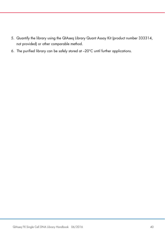- 5. Quantify the library using the QIAseq Library Quant Assay Kit (product number 333314, not provided) or other comparable method.
- 6. The purified library can be safely stored at –20°C until further applications.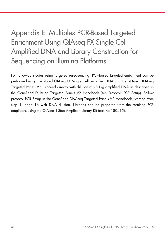# Appendix E: Multiplex PCR-Based Targeted Enrichment Using QIAseq FX Single Cell Amplified DNA and Library Construction for Sequencing on Illumina Platforms

For follow-up studies using targeted resequencing, PCR-based targeted enrichment can be performed using the stored QIAseq FX Single Cell amplified DNA and the QIAseq DNAseq Targeted Panels V2. Proceed directly with dilution of REPLI-g amplified DNA as described in the GeneRead DNAseq Targeted Panels V2 Handbook (see Protocol: PCR Setup). Follow protocol PCR Setup in the GeneRead DNAseq Targeted Panels V2 Handbook, starting from step 1, page 16 with DNA dilution. Libraries can be prepared from the resulting PCR amplicons using the QIAseq 1-Step Amplicon Library Kit (cat. no 180415).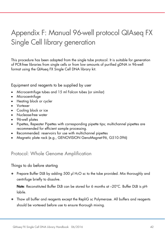# Appendix F: Manual 96-well protocol QIAseq FX Single Cell library generation

This procedure has been adapted from the single tube protocol. It is suitable for generation of PCR-free libraries from single cells or from low amounts of purified gDNA in 96-well format using the QIAseq FX Single Cell DNA library kit.

Equipment and reagents to be supplied by user

- Microcentrifuge tubes and 15 ml Falcon tubes (or similar)
- Microcentrifuge
- Heating block or cycler
- Vortexer
- Cooling block or ice
- Nuclease-free water
- 96-well plates
- Pipettes, Repeater Pipettes with corresponding pipette tips; multichannel pipettes are recommended for efficient sample processing.
- Recommended: reservoirs for use with multichannel pipettes
- Magnetic plate rack (e.g., GENOVISION GenoMagnet-96, G510.096)

### Protocol: Whole Genome Amplification

#### Things to do before starting

• Prepare Buffer DLB by adding 500 μl H<sub>2</sub>O sc to the tube provided. Mix thoroughly and centrifuge briefly to dissolve.

Note: Reconstituted Buffer DLB can be stored for 6 months at -20°C. Buffer DLB is pHlabile.

 Thaw all buffer and reagents except the RepliG sc Polymerase. All buffers and reagents should be vortexed before use to ensure thorough mixing.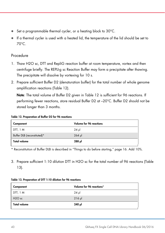- Set a programmable thermal cycler, or a heating block to 30°C.
- If a thermal cycler is used with a heated lid, the temperature of the lid should be set to 70°C.

#### Procedure

- 1. Thaw H2O sc, DTT and RepliG reaction buffer at room temperature, vortex and then centrifuge briefly. The REPLI-g sc Reaction Buffer may form a precipitate after thawing. The precipitate will dissolve by vortexing for 10 s.
- 2. Prepare sufficient Buffer D2 (denaturation buffer) for the total number of whole genome amplification reactions (Table 12).

Note: The total volume of Buffer D2 given in Table 12 is sufficient for 96 reactions. If performing fewer reactions, store residual Buffer D2 at –20°C. Buffer D2 should not be stored longer than 3 months.

#### Table 12. Preparation of Buffer D2 for 96 reactions

| Component                   | Volume for 96 reactions |
|-----------------------------|-------------------------|
| DTT, 1 M                    | 24 µl                   |
| Buffer DLB (reconstituted)* | $264$ pl                |
| <b>Total volume</b>         | 288 µl                  |

\* Reconstitution of Buffer DLB is described in "Things to do before starting," page 16. Add 10%.

3. Prepare sufficient 1:10 dilution DTT in H2O sc for the total number of 96 reactions (Table 13).

| Component           | Volume for 96 reactions* |
|---------------------|--------------------------|
| DTT, 1 M            | $24$ pl                  |
| $H2O$ sc            | $216$ $\mu$              |
| <b>Total volume</b> | 240 µl                   |

#### Table 13. Preparation of DTT 1:10 dilution for 96 reactions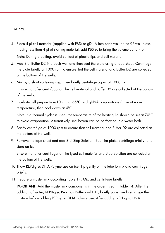\* Add 10%.

- 4. Place 4 μl cell material (supplied with PBS) or gDNA into each well of the 96-well plate. If using less than 4 μl of starting material, add PBS sc to bring the volume up to 4 μl. Note: During pipetting, avoid contact of pipette tips and cell material.
- 5. Add 3 μl Buffer D2 into each well and then seal the plate using a tape sheet. Centrifuge the plate briefly at 1000 rpm to ensure that the cell material and Buffer D2 are collected at the bottom of the wells.
- 6. Mix by a short vortexing step, then briefly centrifuge again at 1000 rpm. Ensure that after centrifugation the cell material and Buffer D2 are collected at the bottom of the wells.
- 7. Incubate cell preparations10 min at 65°C and gDNA preparations 3 min at room temperature, then cool down at 4°C.

Note: If a thermal cycler is used, the temperature of the heating lid should be set at 70°C to avoid evaporation. Alternatively, incubation can be performed in a water bath.

- 8. Briefly centrifuge at 1000 rpm to ensure that cell material and Buffer D2 are collected at the bottom of the well.
- 9. Remove the tape sheet and add 3 μl Stop Solution. Seal the plate, centrifuge briefly, and store on ice.

Ensure that after centrifugation the lysed cell material and Stop Solution are collected at the bottom of the wells.

- 10.Thaw REPLI-g sc DNA Polymerase on ice. Tip gently on the tube to mix and centrifuge briefly.
- 11.Prepare a master mix according Table 14. Mix and centrifuge briefly.

IMPORTANT: Add the master mix components in the order listed in Table 14. After the addition of water, REPLI-g sc Reaction Buffer and DTT, briefly vortex and centrifuge the mixture before adding REPLI-g sc DNA Polymerase. After adding REPLI-g sc DNA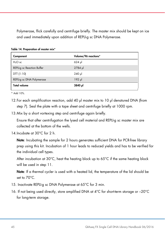Polymerase, flick carefully and centrifuge briefly. The master mix should be kept on ice and used immediately upon addition of REPLI-g sc DNA Polymerase.

| Component                  | Volume/96 reactions* |
|----------------------------|----------------------|
| $H_2O$ sc                  | $624$ pl             |
| REPLI-g sc Reaction Buffer | $2784$ µ             |
| DTT (1:10)                 | $240$ µ              |
| REPLI-g sc DNA Polymerase  | $192$ pl             |
| <b>Total volume</b>        | 3840 µl              |

Table 14. Preparation of master mix\*

\* Add 10%.

- 12.For each amplification reaction, add 40 μl master mix to 10 μl denatured DNA (from step 7). Seal the plate with a tape sheet and centrifuge briefly at 1000 rpm.
- 13.Mix by a short vortexing step and centrifuge again briefly.

Ensure that after centrifugation the lysed cell material and REPLI-g sc master mix are collected at the bottom of the wells.

14.Incubate at 30°C for 2 h.

Note: Incubating the sample for 2 hours generates sufficient DNA for PCR-free library prep using this kit. Incubation of 1 hour leads to reduced yields and has to be verified for the individual cell types.

After incubation at 30°C, heat the heating block up to 65°C if the same heating block will be used in step 11.

Note: If a thermal cycler is used with a heated lid, the temperature of the lid should be set to 70°C.

- 15. Inactivate REPLI-g sc DNA Polymerase at 65°C for 3 min.
- 16. If not being used directly, store amplified DNA at 4°C for short-term storage or –20°C for long-term storage.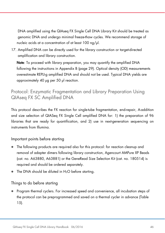DNA amplified using the QIAseq FX Single Cell DNA Library Kit should be treated as genomic DNA and undergo minimal freeze-thaw cycles. We recommend storage of nucleic acids at a concentration of at least 100 ng/μl.

17. Amplified DNA can be directly used for the library construction or target-directed amplification and library construction.

Note: To proceed with library preparation, you may quantify the amplified DNA following the instructions in Appendix B (page 29). Optical density (OD) measurements overestimate REPLI-g amplified DNA and should not be used. Typical DNA yields are approximately 40 μg per 50 μl reaction.

## Protocol: Enzymatic Fragmentation and Library Preparation Using QIAseq FX SC Amplified DNA

This protocol describes the FX reaction for single-tube fragmentation, end-repair, A-addition and size selection of QIASeq FX Single Cell amplified DNA for: 1) the preparation of 96 libraries that are ready for quantification, and 2) use in next-generation sequencing on instruments from Illumina.

### Important points before starting

- The following products are required also for this protocol: for reaction cleanup and removal of adapter dimers following library construction, Agencourt AMPure XP Beads (cat. no. A63880, A63881) or the GeneRead Size Selection Kit (cat. no. 180514) is required and should be ordered separately.
- The DNA should be diluted in H<sub>2</sub>O before starting.

### Things to do before starting

 Program thermal cyclers. For increased speed and convenience, all incubation steps of the protocol can be preprogrammed and saved on a thermal cycler in advance (Table 15).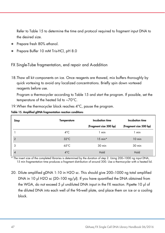Refer to Table 15 to determine the time and protocol required to fragment input DNA to the desired size.

- Prepare fresh 80% ethanol.
- Prepare Buffer 10 mM Tris-HCl, pH 8.0

FX Single-Tube fragmentation, end repair and A-addition

18.Thaw all kit components on ice. Once reagents are thawed, mix buffers thoroughly by quick vortexing to avoid any localized concentrations. Briefly spin down vortexed reagents before use.

Program a thermocycler according to Table 15 and start the program. If possible, set the temperature of the heated lid to ~70°C.

| Step           | <b>Temperature</b> | Incubation time        | Incubation time        |  |
|----------------|--------------------|------------------------|------------------------|--|
|                |                    | (Fragment size 300 bp) | (Fragment size 500 bp) |  |
|                | $4^{\circ}$ C      | 1 min                  | 1 min                  |  |
| $\overline{2}$ | $32^{\circ}$ C     | $15$ min*              | $10$ min               |  |
| 3              | $65^{\circ}$ C     | 30 min                 | 30 min                 |  |
| 4              | $4^{\circ}$ C      | Hold                   | Hold                   |  |

19.When the thermocycler block reaches 4°C, pause the program.

Table 15. Amplified gDNA fragmentation reaction conditions

\* The insert size of the completed libraries is determined by the duration of step 2. Using 200–1000 ng input DNA, 15 min fragmentation time produces a fragment distribution of around 300. Use a thermocycler with a heated lid.

20. Dilute amplified gDNA 1:10 in H2O sc. This should give 200–1000 ng total amplified DNA in 10 μl H2O sc (20–100 ng/μl). If you have quantified the DNA obtained from the WGA, do not exceed 5 μl undiluted DNA input in the FX reaction. Pipette 10 μl of the diluted DNA into each well of the 96-well plate, and place them on ice or a cooling block.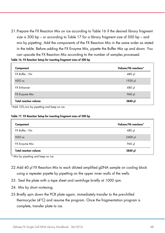21.Prepare the FX Reaction Mix on ice according to Table 16 if the desired library fragment size is 300 bp – or according to Table 17 for a library fragment size of 500 bp – and mix by pipetting. Add the components of the FX Reaction Mix in the same order as stated in the table. Before adding the FX Enzyme Mix, pipette the Buffer Mix up and down. You can upscale the FX Reaction Mix according to the number of samples processed.

|  | Table 16. FX Reaction Setup for inserting fragment sizes of 300 bp |  |  |  |  |  |
|--|--------------------------------------------------------------------|--|--|--|--|--|
|--|--------------------------------------------------------------------|--|--|--|--|--|

| Component                    | Volume/96 reactions* |
|------------------------------|----------------------|
| FX Buffer, 10x               | 480 µl               |
| $H2O$ sc                     | 1920 µl              |
| <b>FX Enhancer</b>           | 480 µl               |
| FX Enzyme Mix                | 960 µl               |
| <b>Total reaction volume</b> | 3840 µl              |

\*Add 10%,mix by pipetting and keep on ice.

#### Table 17. FX Reaction Setup for inserting fragment sizes of 500 bp

| Component                      | Volume/96 reactions* |
|--------------------------------|----------------------|
| FX Buffer, 10x                 | $480$ pl             |
| H <sub>2</sub> O <sub>sc</sub> | $2400$ µ             |
| FX Enzyme Mix                  | 960 µl               |
| <b>Total reaction volume</b>   | 3840 µl              |

Mix by pipetting and keep on ice.

- 22.Add 40 μl FX Reaction Mix to each diluted amplified gDNA sample on cooling block using a repeater pipette by pipetting on the upper inner walls of the wells.
- 23. Seal the plate with a tape sheet and centrifuge briefly at 1000 rpm.
- 24. Mix by short vortexing.
- 25.Briefly spin down the PCR plate again, immediately transfer to the pre-chilled thermocycler (4°C) and resume the program. Once the fragmentation program is complete, transfer plate to ice.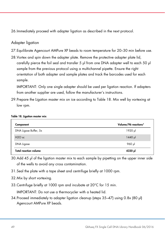26.Immediately proceed with adapter ligation as described in the next protocol.

#### Adapter ligation

- 27.Equilibrate Agencourt AMPure XP beads to room temperature for 20–30 min before use.
- 28.Vortex and spin down the adapter plate. Remove the protective adapter plate lid, carefully pierce the foil seal and transfer 5 μl from one DNA adapter well to each 50 μl sample from the previous protocol using a multichannel pipette. Ensure the right orientation of both adapter and sample plates and track the barcodes used for each sample.

IMPORTANT: Only one single adapter should be used per ligation reaction. If adapters from another supplier are used, follow the manufacturer's instructions.

29.Prepare the Ligation master mix on ice according to Table 18. Mix well by vortexing at low rpm.

#### Table 18. Ligation master mix

| Component                    | Volume/96 reactions* |
|------------------------------|----------------------|
| DNA Ligase Buffer, 5x        | 1920 µl              |
| $H2O$ sc                     | $1440$ pl            |
| DNA Ligase                   | 960 µl               |
| <b>Total reaction volume</b> | 4320 µl              |

30.Add 45 μl of the ligation master mix to each sample by pipetting on the upper inner side of the wells to avoid any cross contamination.

- 31.Seal the plate with a tape sheet and centrifuge briefly at 1000 rpm.
- 32.Mix by short vortexing.
- 33.Centrifuge briefly at 1000 rpm and incubate at 20°C for 15 min.

IMPORTANT: Do not use a thermocycler with a heated lid.

34.Proceed immediately to adapter ligation cleanup (steps 35–47) using 0.8x (80 μl) Agencourt AMPure XP beads.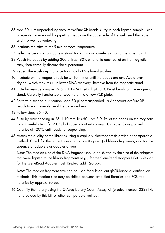- 35.Add 80 μl resuspended Agencourt AMPure XP beads slurry to each ligated sample using a repeater pipette and by pipetting beads on the upper side of the well; seal the plate and mix well by vortexing.
- 36.Incubate the mixture for 5 min at room temperature.
- 37.Pellet the beads on a magnetic stand for 2 min and carefully discard the supernatant.
- 38.Wash the beads by adding 200 μl fresh 80% ethanol to each pellet on the magnetic rack, then carefully discard the supernatant.
- 39.Repeat the wash step 38 once for a total of 2 ethanol washes.
- 40.Incubate on the magnetic rack for 5–10 min or until the beads are dry. Avoid overdrying, which may result in lower DNA recovery. Remove from the magnetic stand.
- 41.Elute by resuspending in 52.5 μl 10 mM Tris-HCl, pH 8.0. Pellet beads on the magnetic stand. Carefully transfer 50 μl supernatant to a new PCR plate.
- 42.Perform a second purification. Add 50 μl of resuspended 1x Agencourt AMPure XP beads to each sample; seal the plate and mix.
- 43.Follow steps 36–40.
- 44.Elute by resuspending in 26 μl 10 mM Tris-HCl, pH 8.0. Pellet the beads on the magnetic rack. Carefully transfer 23.5 μl of supernatant into a new PCR plate. Store purified libraries at –20°C until ready for sequencing.
- 45.Assess the quality of the libraries using a capillary electrophoresis device or comparable method. Check for the correct size distribution (Figure 1) of library fragments, and for the absence of adapters or adapter dimers.

Note: The median size of the DNA fragment should be shifted by the size of the adapters that were ligated to the library fragments (e.g., for the GeneRead Adapter I Set 1-plex or for the GeneRead Adapter I Set 12-plex, add 120 bp).

Note: The median fragment size can be used for subsequent qPCR-based quantification methods. This median size may be shifted between amplified libraries and PCR-free libraries by approx. 30 bp.

46.Quantify the library using the QIAseq Library Quant Assay Kit (product number 333314, not provided by this kit) or other comparable method.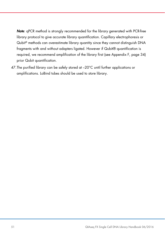Note: qPCR method is strongly recommended for the library generated with PCR-free library protocol to give accurate library quantification. Capillary electrophoresis or Qubit® methods can overestimate library quantity since they cannot distinguish DNA fragments with and without adapters ligated. However if Qubit® quantification is required, we recommend amplification of the library first (see Appendix F, page 34) prior Qubit quantification.

47.The purified library can be safely stored at –20°C until further applications or amplifications. LoBind tubes should be used to store library.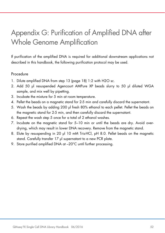# Appendix G: Purification of Amplified DNA after Whole Genome Amplification

If purification of the amplified DNA is required for additional downstream applications not described in this handbook, the following purification protocol may be used.

#### Procedure

- 1. Dilute amplified DNA from step 13 (page 18) 1:2 with H2O sc.
- 2. Add 50 μl resuspended Agencourt AMPure XP beads slurry to 50 μl diluted WGA sample, and mix well by pipetting.
- 3. Incubate the mixture for 5 min at room temperature.
- 4. Pellet the beads on a magnetic stand for 2-5 min and carefully discard the supernatant.
- 5. Wash the beads by adding 200 μl fresh 80% ethanol to each pellet. Pellet the beads on the magnetic stand for 2-5 min, and then carefully discard the supernatant.
- 6. Repeat the wash step 5 once for a total of 2 ethanol washes.
- 7. Incubate on the magnetic stand for 5–10 min or until the beads are dry. Avoid overdrying, which may result in lower DNA recovery. Remove from the magnetic stand.
- 8. Elute by resuspending in 20 μl 10 mM Tris-HCl, pH 8.0. Pellet beads on the magnetic stand. Carefully transfer 17 μl supernatant to a new PCR plate.
- 9. Store purified amplified DNA at -20°C until further processing.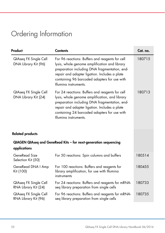# Ordering Information

| Product                                              | <b>Contents</b>                                                                                                                                                                                                                                                              | Cat. no. |
|------------------------------------------------------|------------------------------------------------------------------------------------------------------------------------------------------------------------------------------------------------------------------------------------------------------------------------------|----------|
| <b>QIAseq FX Single Cell</b><br>DNA Library Kit (96) | For 96 reactions: Buffers and reagents for cell<br>lysis, whole genome amplification and library<br>preparation including DNA fragmentation, end-<br>repair and adapter ligation. Includes a plate<br>containing 96 barcoded adapters for use with<br>Illumina instruments.  | 180715   |
| <b>QIAseq FX Single Cell</b><br>DNA Library Kit (24) | For 24 reactions: Buffers and reagents for cell<br>lysis, whole genome amplification, and library<br>preparation including DNA fragmentation, end-<br>repair and adapter ligation. Includes a plate<br>containing 24 barcoded adapters for use with<br>Illumina instruments. | 180713   |
| <b>Related products</b>                              |                                                                                                                                                                                                                                                                              |          |
| applications                                         | QIAGEN QIAseq and GeneRead Kits - for next-generation sequencing                                                                                                                                                                                                             |          |
| GeneRead Size<br>Selection Kit (50)                  | For 50 reactions: Spin columns and buffers                                                                                                                                                                                                                                   | 180514   |
| GeneRead DNA I Amp<br>Kit (100)                      | For 100 reactions: Buffers and reagents for<br>library amplification, for use with Illumina<br>instruments                                                                                                                                                                   | 180455   |
| <b>QIAseq FX Single Cell</b><br>RNA Library Kit (24) | For 24 reactions: Buffers and reagents for mRNA-<br>seq library preparation from single cells                                                                                                                                                                                | 180733   |
| <b>QIAseq FX Single Cell</b><br>RNA Library Kit (96) | For 96 reactions: Buffers and reagents for mRNA-<br>seq library preparation from single cells                                                                                                                                                                                | 180735   |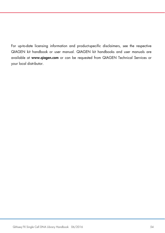For up-to-date licensing information and product-specific disclaimers, see the respective QIAGEN kit handbook or user manual. QIAGEN kit handbooks and user manuals are available at www.qiagen.com or can be requested from QIAGEN Technical Services or your local distributor.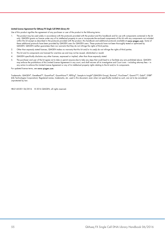#### Limited License Agreement for QIAseq FX Single Cell DNA Library Kit

Use of this product signifies the agreement of any purchaser or user of the product to the following terms:

- 1. The product may be used solely in accordance with the protocols provided with the product and this handbook and for use with components contained in the kit only. QIAGEN grants no license under any of its intellectual property to use or incorporate the enclosed components of this kit with any components not included within this kit except as described in the protocols provided with the product, this handbook and additional protocols available at www.qiagen.com. Some of these additional protocols have been provided by QIAGEN users for QIAGEN users. These protocols have not been thoroughly tested or optimized by QIAGEN. QIAGEN neither guarantees them nor warrants that they do not infringe the rights of third parties.
- 2. Other than expressly stated licenses, QIAGEN makes no warranty that this kit and/or its use(s) do not infringe the rights of third parties.
- 3. This kit and its components are licensed for one-time use and may not be reused, refurbished or resold.
- 4. QIAGEN specifically disclaims any other licenses, expressed or implied, other than those expressly stated.
- 5. The purchaser and user of the kit agree not to take or permit anyone else to take any steps that could lead to or facilitate any acts prohibited above. QIAGEN may enforce the prohibitions of this Limited License Agreement in any court, and shall recover all its investigative and Court costs – including attorney fees – in any action to enforce this Limited License Agreement or any of its intellectual property rights relating to the kit and/or its components.

#### For updated license terms, see www.qiagen.com.

Trademarks: QIAGEN®, GeneRead™, QuantiFast®, QuantiNova™, REPLI-g®, Sample to Insight® (QIAGEN Group), Illumina®, PicoGreen®, Quant-iT™, Qubit®, SYBR® (Life Technologies Corporation). Registered names, trademarks, etc. used in this document, even when not specifically marked as such, are not to be considered unprotected by law.

HB-2143-001 06/2016 © 2016 QIAGEN, all rights reserved.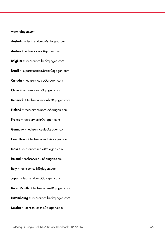#### www.qiagen.com

- Australia  $*$  techservice-au@qiagen.com
- Austria · techservice-at@qiagen.com
- Belgium · techservice-bnl@qiagen.com
- **Brazil** suportetecnico.brasil@qiagen.com
- Canada · techservice-ca@qiagen.com
- $China$  = techservice-cn@aiagen.com
- Denmark · techservice-nordic@qiagen.com
- Finland  $\blacksquare$  techservice-nordic@qiagen.com
- France · techservice-fr@qiagen.com
- Germany · techservice-de@qiagen.com
- Hong Kong  $\equiv$  techservice-hk@qiagen.com
- India · techservice-india@qiagen.com
- Ireland = techservice-uk@qiagen.com
- Italy **e** techservice-it@qiagen.com
- Japan  $*$  techservice-jp@qiagen.com
- Korea (South) = techservice-kr@qiagen.com
- Luxembourg · techservice-bnl@qiagen.com
- $Mexico$  = techservice-mx@qiagen.com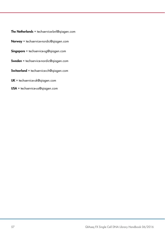- The Netherlands  $=$  techservice-bnl@qiagen.com
- Norway **etechservice-nordic@qiagen.com**
- $Singapore * techserve, g@qiagen.com$
- Sweden · techservice-nordic@qiagen.com
- Switzerland  $=$  techservice-ch@qiagen.com
- UK  $=$  techservice-uk@qiagen.com
- $USA$  = techservice-us@qiagen.com